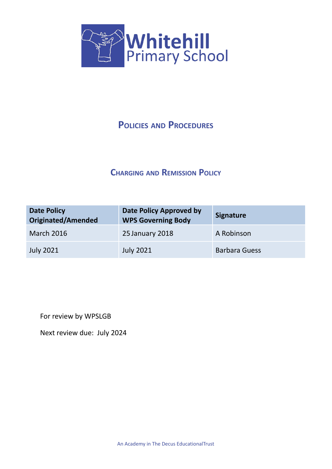

# **POLICIES AND PROCEDURES**

# **CHARGING AND REMISSION POLICY**

| <b>Date Policy</b><br><b>Originated/Amended</b> | <b>Date Policy Approved by</b><br><b>WPS Governing Body</b> | <b>Signature</b>     |
|-------------------------------------------------|-------------------------------------------------------------|----------------------|
| <b>March 2016</b>                               | 25 January 2018                                             | A Robinson           |
| <b>July 2021</b>                                | <b>July 2021</b>                                            | <b>Barbara Guess</b> |

For review by WPSLGB

Next review due: July 2024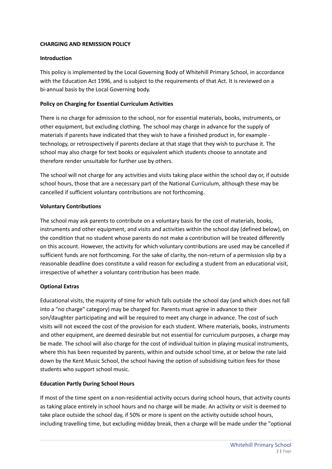# **CHARGING AND REMISSION POLICY**

#### **Introduction**

This policy is implemented by the Local Governing Body of Whitehill Primary School, in accordance with the Education Act 1996, and is subject to the requirements of that Act. It is reviewed on a bi-annual basis by the Local Governing body.

# **Policy on Charging for Essential Curriculum Activities**

There is no charge for admission to the school, nor for essential materials, books, instruments, or other equipment, but excluding clothing. The school may charge in advance for the supply of materials if parents have indicated that they wish to have a finished product in, for example technology, or retrospectively if parents declare at that stage that they wish to purchase it. The school may also charge for text books or equivalent which students choose to annotate and therefore render unsuitable for further use by others.

The school will not charge for any activities and visits taking place within the school day or, if outside school hours, those that are a necessary part of the National Curriculum, although these may be cancelled if sufficient voluntary contributions are not forthcoming.

#### **Voluntary Contributions**

The school may ask parents to contribute on a voluntary basis for the cost of materials, books, instruments and other equipment, and visits and activities within the school day (defined below), on the condition that no student whose parents do not make a contribution will be treated differently on this account. However, the activity for which voluntary contributions are used may be cancelled if sufficient funds are not forthcoming. For the sake of clarity, the non-return of a permission slip by a reasonable deadline does constitute a valid reason for excluding a student from an educational visit, irrespective of whether a voluntary contribution has been made.

# **Optional Extras**

Educational visits, the majority of time for which falls outside the school day (and which does not fall into a "no charge" category) may be charged for. Parents must agree in advance to their son/daughter participating and will be required to meet any charge in advance. The cost of such visits will not exceed the cost of the provision for each student. Where materials, books, instruments and other equipment, are deemed desirable but not essential for curriculum purposes, a charge may be made. The school will also charge for the cost of individual tuition in playing musical instruments, where this has been requested by parents, within and outside school time, at or below the rate laid down by the Kent Music School, the school having the option of subsidising tuition fees for those students who support school music.

#### **Education Partly During School Hours**

If most of the time spent on a non-residential activity occurs during school hours, that activity counts as taking place entirely in school hours and no charge will be made. An activity or visit is deemed to take place outside the school day, if 50% or more is spent on the activity outside school hours, including travelling time, but excluding midday break, then a charge will be made under the "optional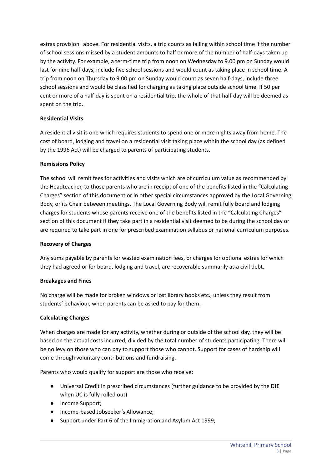extras provision" above. For residential visits, a trip counts as falling within school time if the number of school sessions missed by a student amounts to half or more of the number of half-days taken up by the activity. For example, a term-time trip from noon on Wednesday to 9.00 pm on Sunday would last for nine half-days, include five school sessions and would count as taking place in school time. A trip from noon on Thursday to 9.00 pm on Sunday would count as seven half-days, include three school sessions and would be classified for charging as taking place outside school time. If 50 per cent or more of a half-day is spent on a residential trip, the whole of that half-day will be deemed as spent on the trip.

# **Residential Visits**

A residential visit is one which requires students to spend one or more nights away from home. The cost of board, lodging and travel on a residential visit taking place within the school day (as defined by the 1996 Act) will be charged to parents of participating students.

#### **Remissions Policy**

The school will remit fees for activities and visits which are of curriculum value as recommended by the Headteacher, to those parents who are in receipt of one of the benefits listed in the "Calculating Charges" section of this document or in other special circumstances approved by the Local Governing Body, or its Chair between meetings. The Local Governing Body will remit fully board and lodging charges for students whose parents receive one of the benefits listed in the "Calculating Charges" section of this document if they take part in a residential visit deemed to be during the school day or are required to take part in one for prescribed examination syllabus or national curriculum purposes.

#### **Recovery of Charges**

Any sums payable by parents for wasted examination fees, or charges for optional extras for which they had agreed or for board, lodging and travel, are recoverable summarily as a civil debt.

#### **Breakages and Fines**

No charge will be made for broken windows or lost library books etc., unless they result from students' behaviour, when parents can be asked to pay for them.

#### **Calculating Charges**

When charges are made for any activity, whether during or outside of the school day, they will be based on the actual costs incurred, divided by the total number of students participating. There will be no levy on those who can pay to support those who cannot. Support for cases of hardship will come through voluntary contributions and fundraising.

Parents who would qualify for support are those who receive:

- Universal Credit in prescribed circumstances (further guidance to be provided by the DfE when UC is fully rolled out)
- Income Support;
- Income-based Jobseeker's Allowance;
- Support under Part 6 of the Immigration and Asylum Act 1999;